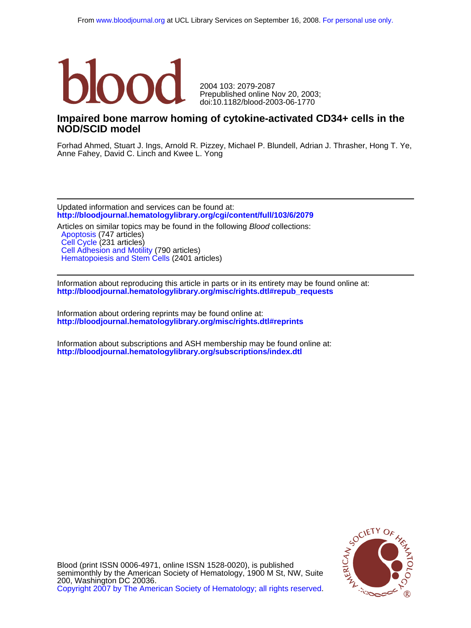

doi:10.1182/blood-2003-06-1770 Prepublished online Nov 20, 2003; 2004 103: 2079-2087

## **NOD/SCID model Impaired bone marrow homing of cytokine-activated CD34+ cells in the**

Anne Fahey, David C. Linch and Kwee L. Yong Forhad Ahmed, Stuart J. Ings, Arnold R. Pizzey, Michael P. Blundell, Adrian J. Thrasher, Hong T. Ye,

**<http://bloodjournal.hematologylibrary.org/cgi/content/full/103/6/2079>** Updated information and services can be found at:

[Hematopoiesis and Stem Cells](http://bloodjournal.hematologylibrary.org/cgi/collection/hematopoiesis_and_stem_cells) (2401 articles) [Cell Adhesion and Motility](http://bloodjournal.hematologylibrary.org/cgi/collection/cell_adhesion_and_motility) (790 articles) [Cell Cycle](http://bloodjournal.hematologylibrary.org/cgi/collection/cell_cycle) (231 articles) [Apoptosis](http://bloodjournal.hematologylibrary.org/cgi/collection/apoptosis) (747 articles) Articles on similar topics may be found in the following *Blood* collections:

**[http://bloodjournal.hematologylibrary.org/misc/rights.dtl#repub\\_requests](http://bloodjournal.hematologylibrary.org/misc/rights.dtl#repub_requests)** Information about reproducing this article in parts or in its entirety may be found online at:

**<http://bloodjournal.hematologylibrary.org/misc/rights.dtl#reprints>** Information about ordering reprints may be found online at:

**<http://bloodjournal.hematologylibrary.org/subscriptions/index.dtl>** Information about subscriptions and ASH membership may be found online at:



[Copyright 2007 by The American Society of Hematology; all rights reserved.](http://bloodjournal.hematologylibrary.org/subscriptions/ToS.dtl) 200, Washington DC 20036. semimonthly by the American Society of Hematology, 1900 M St, NW, Suite Blood (print ISSN 0006-4971, online ISSN 1528-0020), is published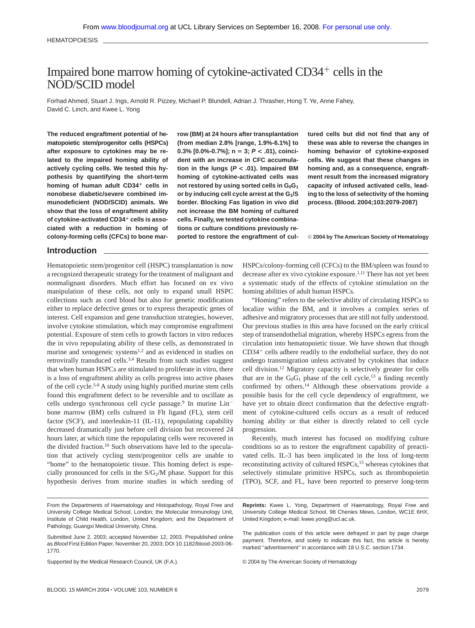**HEMATOPOIESIS** 

# Impaired bone marrow homing of cytokine-activated  $CD34<sup>+</sup>$  cells in the NOD/SCID model

Forhad Ahmed, Stuart J. Ings, Arnold R. Pizzey, Michael P. Blundell, Adrian J. Thrasher, Hong T. Ye, Anne Fahey, David C. Linch, and Kwee L. Yong

**The reduced engraftment potential of hematopoietic stem/progenitor cells (HSPCs) after exposure to cytokines may be related to the impaired homing ability of actively cycling cells. We tested this hypothesis by quantifying the short-term homing of human adult CD34 cells in nonobese diabetic/severe combined immunodeficient (NOD/SCID) animals. We show that the loss of engraftment ability of cytokine-activated CD34 cells is associated with a reduction in homing of colony-forming cells (CFCs) to bone mar-** **row (BM) at 24 hours after transplantation (from median 2.8% [range, 1.9%-6.1%] to 0.3% [0.0%-0.7%]; n** - **3; P < .01), coincident with an increase in CFC accumulation in the lungs (P < .01). Impaired BM homing of cytokine-activated cells was** not restored by using sorted cells in G<sub>0</sub>G<sub>1</sub> or by inducing cell cycle arrest at the G<sub>1</sub>/S **border. Blocking Fas ligation in vivo did not increase the BM homing of cultured cells. Finally, we tested cytokine combinations or culture conditions previously reported to restore the engraftment of cul-** **tured cells but did not find that any of these was able to reverse the changes in homing behavior of cytokine-exposed cells. We suggest that these changes in homing and, as a consequence, engraftment result from the increased migratory capacity of infused activated cells, leading to the loss of selectivity of the homing process. (Blood. 2004;103:2079-2087)**

© **2004 by The American Society of Hematology**

## **Introduction**

Hematopoietic stem/progenitor cell (HSPC) transplantation is now a recognized therapeutic strategy for the treatment of malignant and nonmalignant disorders. Much effort has focused on ex vivo manipulation of these cells, not only to expand small HSPC collections such as cord blood but also for genetic modification either to replace defective genes or to express therapeutic genes of interest. Cell expansion and gene transduction strategies, however, involve cytokine stimulation, which may compromise engraftment potential. Exposure of stem cells to growth factors in vitro reduces the in vivo repopulating ability of these cells, as demonstrated in murine and xenogeneic systems<sup>1,2</sup> and as evidenced in studies on retrovirally transduced cells.<sup>3,4</sup> Results from such studies suggest that when human HSPCs are stimulated to proliferate in vitro, there is a loss of engraftment ability as cells progress into active phases of the cell cycle.5-8 A study using highly purified murine stem cells found this engraftment defect to be reversible and to oscillate as cells undergo synchronous cell cycle passage.<sup>9</sup> In murine Lin<sup>-</sup> bone marrow (BM) cells cultured in Flt ligand (FL), stem cell factor (SCF), and interleukin-11 (IL-11), repopulating capability decreased dramatically just before cell division but recovered 24 hours later, at which time the repopulating cells were recovered in the divided fraction.<sup>10</sup> Such observations have led to the speculation that actively cycling stem/progenitor cells are unable to "home" to the hematopoietic tissue. This homing defect is especially pronounced for cells in the  $S/G<sub>2</sub>/M$  phase. Support for this hypothesis derives from murine studies in which seeding of

HSPCs/colony-forming cell (CFCs) to the BM/spleen was found to decrease after ex vivo cytokine exposure.<sup>1,11</sup> There has not yet been a systematic study of the effects of cytokine stimulation on the homing abilities of adult human HSPCs.

"Homing" refers to the selective ability of circulating HSPCs to localize within the BM, and it involves a complex series of adhesive and migratory processes that are still not fully understood. Our previous studies in this area have focused on the early critical step of transendothelial migration, whereby HSPCs egress from the circulation into hematopoietic tissue. We have shown that though  $CD34<sup>+</sup>$  cells adhere readily to the endothelial surface, they do not undergo transmigration unless activated by cytokines that induce cell division.12 Migratory capacity is selectively greater for cells that are in the  $G_0G_1$  phase of the cell cycle,<sup>13</sup> a finding recently confirmed by others.14 Although these observations provide a possible basis for the cell cycle dependency of engraftment, we have yet to obtain direct confirmation that the defective engraftment of cytokine-cultured cells occurs as a result of reduced homing ability or that either is directly related to cell cycle progression.

Recently, much interest has focused on modifying culture conditions so as to restore the engraftment capability of preactivated cells. IL-3 has been implicated in the loss of long-term reconstituting activity of cultured HSPCs,<sup>15</sup> whereas cytokines that selectively stimulate primitive HSPCs, such as thrombopoietin (TPO), SCF, and FL, have been reported to preserve long-term

From the Departments of Haematology and Histopathology, Royal Free and University College Medical School, London; the Molecular Immunology Unit, Institute of Child Health, London, United Kingdom; and the Department of Pathology, Guangxi Medical University, China.

Supported by the Medical Research Council, UK (F.A.).

**Reprints:** Kwee L. Yong, Department of Haematology, Royal Free and University College Medical School, 98 Chenies Mews, London, WC1E 6HX, United Kingdom; e-mail: kwee.yong@ucl.ac.uk.

The publication costs of this article were defrayed in part by page charge payment. Therefore, and solely to indicate this fact, this article is hereby marked "advertisement" in accordance with 18 U.S.C. section 1734.

© 2004 by The American Society of Hematology

Submitted June 2, 2003; accepted November 12, 2003. Prepublished online as Blood First Edition Paper, November 20, 2003; DOI 10.1182/blood-2003-06- 1770.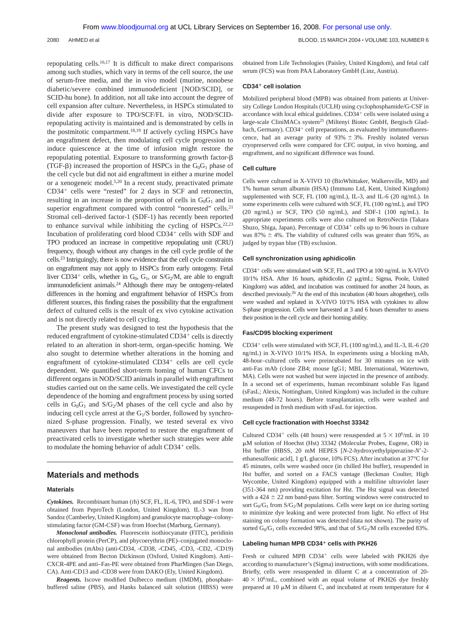repopulating cells.16,17 It is difficult to make direct comparisons among such studies, which vary in terms of the cell source, the use of serum-free media, and the in vivo model (murine, nonobese diabetic/severe combined immunodeficient [NOD/SCID], or SCID-hu bone). In addition, not all take into account the degree of cell expansion after culture. Nevertheless, in HSPCs stimulated to divide after exposure to TPO/SCF/FL in vitro, NOD/SCIDrepopulating activity is maintained and is demonstrated by cells in the postmitotic compartment.18,19 If actively cycling HSPCs have an engraftment defect, then modulating cell cycle progression to induce quiescence at the time of infusion might restore the repopulating potential. Exposure to transforming growth factor- (TGF- $\beta$ ) increased the proportion of HSPCs in the G<sub>0</sub>G<sub>1</sub> phase of the cell cycle but did not aid engraftment in either a murine model or a xenogeneic model.5,20 In a recent study, preactivated primate  $CD34<sup>+</sup>$  cells were "rested" for 2 days in SCF and retronectin, resulting in an increase in the proportion of cells in  $G_0G_1$  and in superior engraftment compared with control "nonrested" cells.<sup>21</sup> Stromal cell–derived factor-1 (SDF-1) has recently been reported to enhance survival while inhibiting the cycling of HSPCs.<sup>22,23</sup> Incubation of proliferating cord blood CD34<sup>+</sup> cells with SDF and TPO produced an increase in competitive repopulating unit (CRU) frequency, though without any changes in the cell cycle profile of the cells.23 Intriguingly, there is now evidence that the cell cycle constraints on engraftment may not apply to HSPCs from early ontogeny. Fetal liver CD34<sup>+</sup> cells, whether in  $G_0$ ,  $G_1$ , or S/G<sub>2</sub>/M, are able to engraft immunodeficient animals.24 Although there may be ontogeny-related differences in the homing and engraftment behavior of HSPCs from different sources, this finding raises the possibility that the engraftment defect of cultured cells is the result of ex vivo cytokine activation and is not directly related to cell cycling.

The present study was designed to test the hypothesis that the reduced engraftment of cytokine-stimulated CD34<sup>+</sup> cells is directly related to an alteration in short-term, organ-specific homing. We also sought to determine whether alterations in the homing and engraftment of cytokine-stimulated  $CD34<sup>+</sup>$  cells are cell cycle dependent. We quantified short-term homing of human CFCs to different organs in NOD/SCID animals in parallel with engraftment studies carried out on the same cells. We investigated the cell cycle dependence of the homing and engraftment process by using sorted cells in  $G_0G_1$  and  $S/G_2/M$  phases of the cell cycle and also by inducing cell cycle arrest at the  $G<sub>1</sub>/S$  border, followed by synchronized S-phase progression. Finally, we tested several ex vivo maneuvers that have been reported to restore the engraftment of preactivated cells to investigate whether such strategies were able to modulate the homing behavior of adult  $CD34<sup>+</sup>$  cells.

## **Materials and methods**

#### **Materials**

*Cytokines.* Recombinant human (rh) SCF, FL, IL-6, TPO, and SDF-1 were obtained from PeproTech (London, United Kingdom). IL-3 was from Sandoz (Camberley, United Kingdom) and granulocyte macrophage–colonystimulating factor (GM-CSF) was from Hoechst (Marburg, Germany).

*Monoclonal antibodies.* Fluorescein isothiocyanate (FITC), peridinin chlorophyll protein (PerCP), and phycoerythrin (PE)–conjugated monoclonal antibodies (mAbs) (anti-CD34, -CD38, -CD45, -CD3, -CD2, -CD19) were obtained from Becton Dickinson (Oxford, United Kingdom). Anti– CXCR-4PE and anti–Fas-PE were obtained from PharMingen (San Diego, CA). Anti-CD13 and -CD38 were from DAKO (Ely, United Kingdom).

*Reagents.* Iscove modified Dulbecco medium (IMDM), phosphatebuffered saline (PBS), and Hanks balanced salt solution (HBSS) were obtained from Life Technologies (Paisley, United Kingdom), and fetal calf serum (FCS) was from PAA Laboratory GmbH (Linz, Austria).

#### **CD34 cell isolation**

Mobilized peripheral blood (MPB) was obtained from patients at University College London Hospitals (UCLH) using cyclophosphamide/G-CSF in accordance with local ethical guidelines. CD34+ cells were isolated using a large-scale CliniMACs system25 (Miltenyi Biotec GmbH, Bergisch Gladbach, Germany).  $CD34<sup>+</sup>$  cell preparations, as evaluated by immunofluorescence, had an average purity of  $93\% \pm 3\%$ . Freshly isolated versus cryopreserved cells were compared for CFC output, in vivo homing, and engraftment, and no significant difference was found.

#### **Cell culture**

Cells were cultured in X-VIVO 10 (BioWhittaker, Walkersville, MD) and 1% human serum albumin (HSA) (Immuno Ltd, Kent, United Kingdom) supplemented with SCF, FL (100 ng/mL), IL-3, and IL-6 (20 ng/mL). In some experiments cells were cultured with SCF, FL (100 ng/mL), and TPO (20 ng/mL) or SCF, TPO (50 ng/mL), and SDF-1 (100 ng/mL). In appropriate experiments cells were also cultured on RetroNectin (Takara Shuzo, Shiga, Japan). Percentage of CD34<sup>+</sup> cells up to 96 hours in culture was  $87\% \pm 4\%$ . The viability of cultured cells was greater than 95%, as judged by trypan blue (TB) exclusion.

#### **Cell synchronization using aphidicolin**

CD34<sup>+</sup> cells were stimulated with SCF, FL, and TPO at 100 ng/mL in X-VIVO 10/1% HSA. After 16 hours, aphidicolin (2 µg/mL; Sigma, Poole, United Kingdom) was added, and incubation was continued for another 24 hours, as described previously.26 At the end of this incubation (40 hours altogether), cells were washed and replated in X-VIVO 10/1% HSA with cytokines to allow S-phase progression. Cells were harvested at 3 and 6 hours thereafter to assess their position in the cell cycle and their homing ability.

#### **Fas/CD95 blocking experiment**

 $CD34<sup>+</sup>$  cells were stimulated with SCF, FL (100 ng/mL), and IL-3, IL-6 (20) ng/mL) in X-VIVO 10/1% HSA. In experiments using a blocking mAb, 48-hour–cultured cells were preincubated for 30 minutes on ice with anti-Fas mAb (clone ZB4; mouse IgG1; MBL International, Watertown, MA). Cells were not washed but were injected in the presence of antibody. In a second set of experiments, human recombinant soluble Fas ligand (sFasL; Alexis, Nottingham, United Kingdom) was included in the culture medium (48-72 hours). Before transplantation, cells were washed and resuspended in fresh medium with sFasL for injection.

#### **Cell cycle fractionation with Hoechst 33342**

Cultured CD34<sup>+</sup> cells (48 hours) were resuspended at  $5 \times 10^6$ /mL in 10 M solution of Hoechst (Hst) 33342 (Molecular Probes, Eugene, OR) in Hst buffer (HBSS, 20 mM HEPES [*N*-2-hydroxyethylpiperazine-*N*-2 ethanesulfonic acid], 1 g/L glucose, 10% FCS). After incubation at 37°C for 45 minutes, cells were washed once (in chilled Hst buffer), resupended in Hst buffer, and sorted on a FACS vantage (Beckman Coulter, High Wycombe, United Kingdom) equipped with a multiline ultraviolet laser (351-364 nm) providing excitation for Hst. The Hst signal was detected with a  $424 \pm 22$  nm band-pass filter. Sorting windows were constructed to sort  $G_0/G_1$  from S/ $G_2/M$  populations. Cells were kept on ice during sorting to minimize dye leaking and were protected from light. No effect of Hst staining on colony formation was detected (data not shown). The purity of sorted  $G_0/G_1$  cells exceeded 98%, and that of  $S/G_2/M$  cells exceeded 83%.

## Labeling human MPB CD34<sup>+</sup> cells with PKH26

Fresh or cultured MPB CD34<sup>+</sup> cells were labeled with PKH26 dye according to manufacturer's (Sigma) instructions, with some modifications. Briefly, cells were resuspended in diluent C at a concentration of 20-  $40 \times 10^6$ /mL, combined with an equal volume of PKH26 dye freshly prepared at 10  $\mu$ M in diluent C, and incubated at room temperature for 4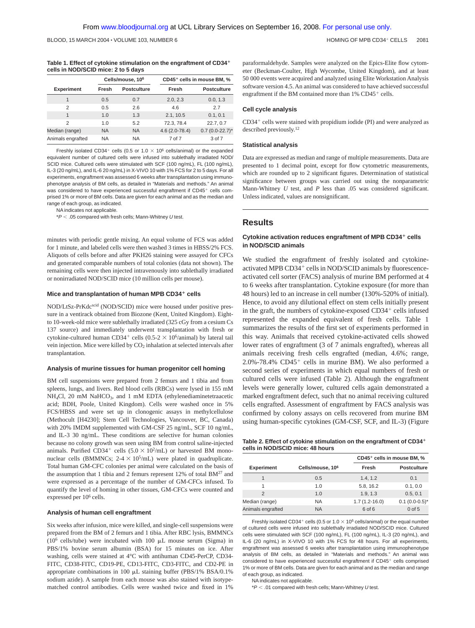#### **Table 1. Effect of cytokine stimulation on the engraftment of CD34 cells in NOD/SCID mice: 2 to 5 days**

|                   | Cells/mouse, 10 <sup>6</sup> |                    | CD45 <sup>+</sup> cells in mouse BM, % |                     |
|-------------------|------------------------------|--------------------|----------------------------------------|---------------------|
| <b>Experiment</b> | Fresh                        | <b>Postculture</b> | Fresh                                  | <b>Postculture</b>  |
| 1                 | 0.5                          | 0.7                | 2.0, 2.3                               | 0.0, 1.3            |
| $\mathfrak{D}$    | 0.5                          | 2.6                | 4.6                                    | 2.7                 |
| 1                 | 1.0                          | 1.3                | 2.1, 10.5                              | 0.1, 0.1            |
| $\mathfrak{D}$    | 1.0                          | 5.2                | 72.3, 78.4                             | 22.7, 0.7           |
| Median (range)    | <b>NA</b>                    | <b>NA</b>          | $4.6(2.0-78.4)$                        | $0.7(0.0-22.7)^{*}$ |
| Animals engrafted | <b>NA</b>                    | <b>NA</b>          | 7 of 7                                 | 3 of 7              |

Freshly isolated CD34<sup>+</sup> cells (0.5 or 1.0  $\times$  10<sup>6</sup> cells/animal) or the expanded equivalent number of cultured cells were infused into sublethally irradiated NOD/ SCID mice. Cultured cells were stimulated with SCF (100 ng/mL), FL (100 ng/mL), IL-3 (20 ng/mL), and IL-6 20 ng/mL) in X-VIVO 10 with 1% FCS for 2 to 5 days. For all experiments, engraftment was assessed 6 weeks after transplantation using immunophenotype analysis of BM cells, as detailed in "Materials and methods." An animal was considered to have experienced successful engraftment if CD45+ cells comprised 1% or more of BM cells. Data are given for each animal and as the median and range of each group, as indicated.

NA indicates not applicable.

 $*P < .05$  compared with fresh cells; Mann-Whitney U test.

minutes with periodic gentle mixing. An equal volume of FCS was added for 1 minute, and labeled cells were then washed 3 times in HBSS/2% FCS. Aliquots of cells before and after PKH26 staining were assayed for CFCs and generated comparable numbers of total colonies (data not shown). The remaining cells were then injected intravenously into sublethally irradiated or nonirradiated NOD/SCID mice (10 million cells per mouse).

#### **Mice and transplantation of human MPB CD34 cells**

NOD/LtSz-PrKdcscid (NOD/SCID) mice were housed under positive pressure in a ventirack obtained from Biozone (Kent, United Kingdom). Eightto 10-week-old mice were sublethally irradiated (325 cGy from a cesium Cs 137 source) and immediately underwent transplantation with fresh or cytokine-cultured human CD34<sup>+</sup> cells (0.5-2  $\times$  10<sup>6</sup>/animal) by lateral tail vein injection. Mice were killed by  $CO<sub>2</sub>$  inhalation at selected intervals after transplantation.

#### **Analysis of murine tissues for human progenitor cell homing**

BM cell suspensions were prepared from 2 femurs and 1 tibia and from spleens, lungs, and livers. Red blood cells (RBCs) were lysed in 155 mM NH<sub>4</sub>Cl, 20 mM NaHCO<sub>3</sub>, and 1 mM EDTA (ethylenediaminetetraacetic acid; BDH, Poole, United Kingdom). Cells were washed once in 5% FCS/HBSS and were set up in clonogenic assays in methylcellulose (Methocult [H4230]; Stem Cell Technologies, Vancouver, BC, Canada) with 20% IMDM supplemented with GM-CSF 25 ng/mL, SCF 10 ng/mL, and IL-3 30 ng/mL. These conditions are selective for human colonies because no colony growth was seen using BM from control saline-injected animals. Purified CD34<sup>+</sup> cells (5.0  $\times$  10<sup>2</sup>/mL) or harvested BM mononuclear cells (BMMNCs;  $2-4 \times 10^5$ /mL) were plated in quadruplicate. Total human GM-CFC colonies per animal were calculated on the basis of the assumption that 1 tibia and 2 femurs represent  $12\%$  of total BM<sup>27</sup> and were expressed as a percentage of the number of GM-CFCs infused. To quantify the level of homing in other tissues, GM-CFCs were counted and expressed per 106 cells.

#### **Analysis of human cell engraftment**

Six weeks after infusion, mice were killed, and single-cell suspensions were prepared from the BM of 2 femurs and 1 tibia. After RBC lysis, BMMNCs ( $10^6$  cells/tube) were incubated with 100  $\mu$ L mouse serum (Sigma) in PBS/1% bovine serum albumin (BSA) for 15 minutes on ice. After washing, cells were stained at 4°C with antihuman CD45-PerCP, CD34- FITC, CD38-FITC, CD19-PE, CD13-FITC, CD3-FITC, and CD2-PE in appropriate combinations in 100  $\mu$ L staining buffer (PBS/1% BSA/0.1%) sodium azide). A sample from each mouse was also stained with isotypematched control antibodies. Cells were washed twice and fixed in 1%

paraformaldehyde. Samples were analyzed on the Epics-Elite flow cytometer (Beckman-Coulter, High Wycombe, United Kingdom), and at least 50 000 events were acquired and analyzed using Elite Workstation Analysis software version 4.5. An animal was considered to have achieved successful engraftment if the BM contained more than  $1\%$  CD45<sup>+</sup> cells.

#### **Cell cycle analysis**

 $CD34<sup>+</sup>$  cells were stained with propidium iodide (PI) and were analyzed as described previously.<sup>12</sup>

#### **Statistical analysis**

Data are expressed as median and range of multiple measurements. Data are presented to 1 decimal point, except for flow cytometric measurements, which are rounded up to 2 significant figures. Determination of statistical significance between groups was carried out using the nonparametric Mann-Whitney *U* test, and *P* less than .05 was considered significant. Unless indicated, values are nonsignificant.

## **Results**

#### **Cytokine activation reduces engraftment of MPB CD34 cells in NOD/SCID animals**

We studied the engraftment of freshly isolated and cytokineactivated MPB CD34<sup>+</sup> cells in NOD/SCID animals by fluorescenceactivated cell sorter (FACS) analysis of murine BM performed at 4 to 6 weeks after transplantation. Cytokine exposure (for more than 48 hours) led to an increase in cell number (130%-520% of initial). Hence, to avoid any dilutional effect on stem cells initially present in the graft, the numbers of cytokine-exposed  $CD34<sup>+</sup>$  cells infused represented the expanded equivalent of fresh cells. Table 1 summarizes the results of the first set of experiments performed in this way. Animals that received cytokine-activated cells showed lower rates of engraftment (3 of 7 animals engrafted), whereas all animals receiving fresh cells engrafted (median, 4.6%; range,  $2.0\%$ -78.4% CD45<sup>+</sup> cells in murine BM). We also performed a second series of experiments in which equal numbers of fresh or cultured cells were infused (Table 2). Although the engraftment levels were generally lower, cultured cells again demonstrated a marked engraftment defect, such that no animal receiving cultured cells engrafted. Assessment of engraftment by FACS analysis was confirmed by colony assays on cells recovered from murine BM using human-specific cytokines (GM-CSF, SCF, and IL-3) (Figure

**Table 2. Effect of cytokine stimulation on the engraftment of CD34 cells in NOD/SCID mice: 48 hours**

|                   |                              | CD45 <sup>+</sup> cells in mouse BM, % |                    |
|-------------------|------------------------------|----------------------------------------|--------------------|
| <b>Experiment</b> | Cells/mouse, 10 <sup>6</sup> | Fresh                                  | <b>Postculture</b> |
| 1                 | 0.5                          | 1.4, 1.2                               | 0.1                |
| 1                 | 1.0                          | 5.8, 16.2                              | 0.1, 0.0           |
| 2                 | 1.0                          | 1.9, 1.3                               | 0.5, 0.1           |
| Median (range)    | <b>NA</b>                    | $1.7(1.2 - 16.0)$                      | $0.1(0.0-0.5)^{*}$ |
| Animals engrafted | <b>NA</b>                    | 6 of 6                                 | $0$ of $5$         |

Freshly isolated CD34<sup>+</sup> cells (0.5 or 1.0  $\times$  10<sup>6</sup> cells/animal) or the equal number of cultured cells were infused into sublethally irradiated NOD/SCID mice. Cultured cells were stimulated with SCF (100 ng/mL), FL (100 ng/mL), IL-3 (20 ng/mL), and IL-6 (20 ng/mL) in X-VIVO 10 with 1% FCS for 48 hours. For all experiments, engraftment was assessed 6 weeks after transplantation using immunophenotype analysis of BM cells, as detailed in "Materials and methods." An animal was considered to have experienced successful engraftment if CD45<sup>+</sup> cells comprised 1% or more of BM cells. Data are given for each animal and as the median and range of each group, as indicated.

NA indicates not applicable.

 $*P < .01$  compared with fresh cells; Mann-Whitney U test.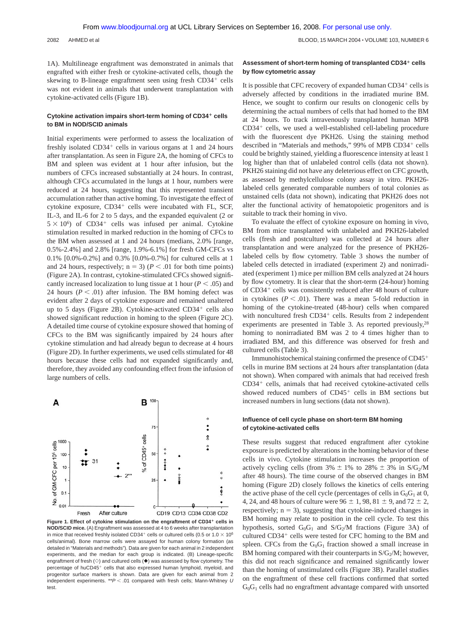2082 AHMED et al BLOOD, 15 MARCH 2004 VOLUME 103, NUMBER 6

1A). Multilineage engraftment was demonstrated in animals that engrafted with either fresh or cytokine-activated cells, though the skewing to B-lineage engraftment seen using fresh  $CD34<sup>+</sup>$  cells was not evident in animals that underwent transplantation with cytokine-activated cells (Figure 1B).

## Cytokine activation impairs short-term homing of CD34<sup>+</sup> cells **to BM in NOD/SCID animals**

Initial experiments were performed to assess the localization of freshly isolated  $CD34<sup>+</sup>$  cells in various organs at 1 and 24 hours after transplantation. As seen in Figure 2A, the homing of CFCs to BM and spleen was evident at 1 hour after infusion, but the numbers of CFCs increased substantially at 24 hours. In contrast, although CFCs accumulated in the lungs at 1 hour, numbers were reduced at 24 hours, suggesting that this represented transient accumulation rather than active homing. To investigate the effect of cytokine exposure,  $CD34<sup>+</sup>$  cells were incubated with FL, SCF, IL-3, and IL-6 for 2 to 5 days, and the expanded equivalent (2 or  $5 \times 10^6$ ) of CD34<sup>+</sup> cells was infused per animal. Cytokine stimulation resulted in marked reduction in the homing of CFCs to the BM when assessed at 1 and 24 hours (medians, 2.0% [range, 0.5%-2.4%] and 2.8% [range, 1.9%-6.1%] for fresh GM-CFCs vs 0.1% [0.0%-0.2%] and 0.3% [0.0%-0.7%] for cultured cells at 1 and 24 hours, respectively;  $n = 3$ ) ( $P < .01$  for both time points) (Figure 2A). In contrast, cytokine-stimulated CFCs showed significantly increased localization to lung tissue at 1 hour ( $P < .05$ ) and 24 hours  $(P < .01)$  after infusion. The BM homing defect was evident after 2 days of cytokine exposure and remained unaltered up to 5 days (Figure 2B). Cytokine-activated  $CD34<sup>+</sup>$  cells also showed significant reduction in homing to the spleen (Figure 2C). A detailed time course of cytokine exposure showed that homing of CFCs to the BM was significantly impaired by 24 hours after cytokine stimulation and had already begun to decrease at 4 hours (Figure 2D). In further experiments, we used cells stimulated for 48 hours because these cells had not expanded significantly and, therefore, they avoided any confounding effect from the infusion of large numbers of cells.



**Figure 1. Effect of cytokine stimulation on the engraftment of CD34<sup>+</sup> cells in NOD/SCID mice.** (A) Engraftment was assessed at 4 to 6 weeks after transplantation in mice that received freshly isolated CD34<sup>+</sup> cells or cultured cells (0.5 or  $1.0 \times 10^6$ cells/animal). Bone marrow cells were assayed for human colony formation (as detailed in "Materials and methods"). Data are given for each animal in 2 independent experiments, and the median for each group is indicated. (B) Lineage-specific engraftment of fresh ( $\diamond$ ) and cultured cells ( $\blacklozenge$ ) was assessed by flow cytometry. The percentage of huCD45<sup>+</sup> cells that also expressed human lymphoid, myeloid, and progenitor surface markers is shown. Data are given for each animal from 2 independent experiments.  $*P < .01$  compared with fresh cells; Mann-Whitney U test.

## **Assessment of short-term homing of transplanted CD34 cells by flow cytometric assay**

It is possible that CFC recovery of expanded human CD34<sup>+</sup> cells is adversely affected by conditions in the irradiated murine BM. Hence, we sought to confirm our results on clonogenic cells by determining the actual numbers of cells that had homed to the BM at 24 hours. To track intravenously transplanted human MPB  $CD34<sup>+</sup>$  cells, we used a well-established cell-labeling procedure with the fluorescent dye PKH26. Using the staining method described in "Materials and methods," 99% of MPB CD34<sup>+</sup> cells could be brightly stained, yielding a fluorescence intensity at least 1 log higher than that of unlabeled control cells (data not shown). PKH26 staining did not have any deleterious effect on CFC growth, as assessed by methylcellulose colony assay in vitro. PKH26 labeled cells generated comparable numbers of total colonies as unstained cells (data not shown), indicating that PKH26 does not alter the functional activity of hematopoietic progenitors and is suitable to track their homing in vivo.

To evaluate the effect of cytokine exposure on homing in vivo, BM from mice transplanted with unlabeled and PKH26-labeled cells (fresh and postculture) was collected at 24 hours after transplantation and were analyzed for the presence of PKH26 labeled cells by flow cytometry. Table 3 shows the number of labeled cells detected in irradiated (experiment 2) and nonirradiated (experiment 1) mice per million BM cells analyzed at 24 hours by flow cytometry. It is clear that the short-term (24-hour) homing of CD34<sup>+</sup> cells was consistently reduced after 48 hours of culture in cytokines  $(P < .01)$ . There was a mean 5-fold reduction in homing of the cytokine-treated (48-hour) cells when compared with noncultured fresh  $CD34<sup>+</sup>$  cells. Results from 2 independent experiments are presented in Table 3. As reported previously, <sup>28</sup> homing to nonirradiated BM was 2 to 4 times higher than to irradiated BM, and this difference was observed for fresh and cultured cells (Table 3).

Immunohistochemical staining confirmed the presence of CD45 cells in murine BM sections at 24 hours after transplantation (data not shown). When compared with animals that had received fresh  $CD34<sup>+</sup>$  cells, animals that had received cytokine-activated cells showed reduced numbers of  $CD45<sup>+</sup>$  cells in BM sections but increased numbers in lung sections (data not shown).

## **Influence of cell cycle phase on short-term BM homing of cytokine-activated cells**

These results suggest that reduced engraftment after cytokine exposure is predicted by alterations in the homing behavior of these cells in vivo. Cytokine stimulation increases the proportion of actively cycling cells (from 3%  $\pm$  1% to 28%  $\pm$  3% in S/G<sub>2</sub>/M after 48 hours). The time course of the observed changes in BM homing (Figure 2D) closely follows the kinetics of cells entering the active phase of the cell cycle (percentages of cells in  $G_0G_1$  at 0, 4, 24, and 48 hours of culture were  $96 \pm 1$ , 98, 81  $\pm$  9, and 72  $\pm$  2, respectively;  $n = 3$ ), suggesting that cytokine-induced changes in BM homing may relate to position in the cell cycle. To test this hypothesis, sorted  $G_0G_1$  and  $S/G_2/M$  fractions (Figure 3A) of cultured CD34<sup>+</sup> cells were tested for CFC homing to the BM and spleen. CFCs from the  $G_0G_1$  fraction showed a small increase in BM homing compared with their counterparts in  $S/G_2/M$ ; however, this did not reach significance and remained significantly lower than the homing of unstimulated cells (Figure 3B). Parallel studies on the engraftment of these cell fractions confirmed that sorted  $G_0G_1$  cells had no engraftment advantage compared with unsorted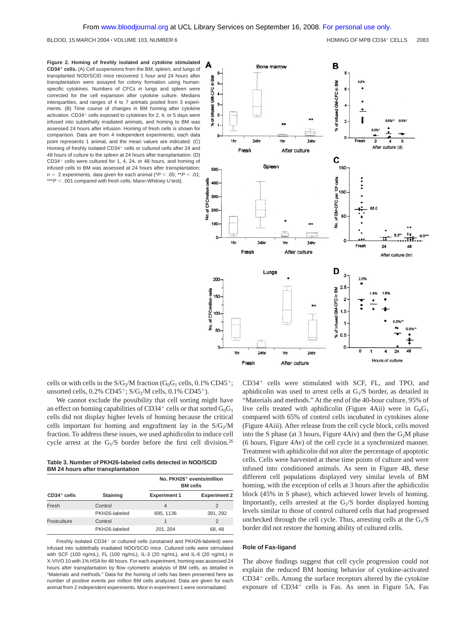**Figure 2. Homing of freshly isolated and cytokine stimulated CD34 cells.** (A) Cell suspensions from the BM, spleen, and lungs of transplanted NOD/SCID mice recovered 1 hour and 24 hours after transplantation were assayed for colony formation using humanspecific cytokines. Numbers of CFCs in lungs and spleen were corrected for the cell expansion after cytokine culture. Medians interquartiles, and ranges of 4 to 7 animals pooled from 3 experiments. (B) Time course of changes in BM homing after cytokine activation.  $CD34<sup>+</sup>$  cells exposed to cytokines for 2, 4, or 5 days were infused into sublethally irradiated animals, and homing to BM was assessed 24 hours after infusion. Homing of fresh cells is shown for comparison. Data are from 4 independent experiments; each data point represents 1 animal, and the mean values are indicated. (C) Homing of freshly isolated CD34<sup>+</sup> cells or cultured cells after 24 and 48 hours of culture to the spleen at 24 hours after transplantation. (D)  $CD34<sup>+</sup>$  cells were cultured for 1, 4, 24, or 48 hours, and homing of infused cells to BM was assessed at 24 hours after transplantation;  $n = 2$  experiments, data given for each animal ( $P < .05$ ; \*\* $P < .01$ ; \*\*\* $P < .001$  compared with fresh cells; Mann-Whitney U test).



cells or with cells in the  $S/G_2/M$  fraction ( $G_0G_1$  cells, 0.1% CD45<sup>+</sup>; unsorted cells,  $0.2\%$  CD45<sup>+</sup>; S/G<sub>2</sub>/M cells,  $0.1\%$  CD45<sup>+</sup>).

We cannot exclude the possibility that cell sorting might have an effect on homing capabilities of CD34<sup>+</sup> cells or that sorted  $G_0G_1$ cells did not display higher levels of homing because the critical cells important for homing and engraftment lay in the  $S/G_2/M$ fraction. To address these issues, we used aphidicolin to induce cell cycle arrest at the  $G_1/S$  border before the first cell division.<sup>26</sup>

**Table 3. Number of PKH26-labeled cells detected in NOD/SCID BM 24 hours after transplantation**

| $CD34+$ cells |               | No. PKH26 <sup>+</sup> events/million<br><b>BM</b> cells |                     |  |
|---------------|---------------|----------------------------------------------------------|---------------------|--|
|               | Staining      | <b>Experiment 1</b>                                      | <b>Experiment 2</b> |  |
| Fresh         | Control       | 4                                                        | 2                   |  |
|               | PKH26-labeled | 695, 1136                                                | 391, 292            |  |
| Postculture   | Control       | 1                                                        | 2                   |  |
|               | PKH26-labeled | 201, 204                                                 | 68, 48              |  |

Freshly isolated CD34<sup>+</sup> or cultured cells (unstained and PKH26-labeled) were infused into sublethally irradiated NOD/SCID mice. Cultured cells were stimulated with SCF (100 ng/mL), FL (100 ng/mL), IL-3 (20 ng/mL), and IL-6 (20 ng/mL) in X-VIVO 10 with 1% HSA for 48 hours. For each experiment, homing was assessed 24 hours after transplantation by flow cytometric analysis of BM cells, as detailed in "Materials and methods." Data for the homing of cells has been presented here as number of positive events per million BM cells analyzed. Data are given for each animal from 2 independent experiments. Mice in experiment 1 were nonirradiated.

 $CD34<sup>+</sup>$  cells were stimulated with SCF, FL, and TPO, and aphidicolin was used to arrest cells at  $G<sub>1</sub>/S$  border, as detailed in "Materials and methods." At the end of the 40-hour culture, 95% of live cells treated with aphidicolin (Figure 4Aii) were in  $G_0G_1$ compared with 65% of control cells incubated in cytokines alone (Figure 4Aiii). After release from the cell cycle block, cells moved into the S phase (at 3 hours, Figure 4Aiv) and then the  $G_2M$  phase (6 hours, Figure 4Av) of the cell cycle in a synchronized manner. Treatment with aphidicolin did not alter the percentage of apoptotic cells. Cells were harvested at these time points of culture and were infused into conditioned animals. As seen in Figure 4B, these different cell populations displayed very similar levels of BM homing, with the exception of cells at 3 hours after the aphidicolin block (45% in S phase), which achieved lower levels of homing. Importantly, cells arrested at the  $G<sub>1</sub>/S$  border displayed homing levels similar to those of control cultured cells that had progressed unchecked through the cell cycle. Thus, arresting cells at the  $G<sub>1</sub>/S$ border did not restore the homing ability of cultured cells.

#### **Role of Fas-ligand**

The above findings suggest that cell cycle progression could not explain the reduced BM homing behavior of cytokine-activated  $CD34<sup>+</sup>$  cells. Among the surface receptors altered by the cytokine exposure of  $CD34<sup>+</sup>$  cells is Fas. As seen in Figure 5A, Fas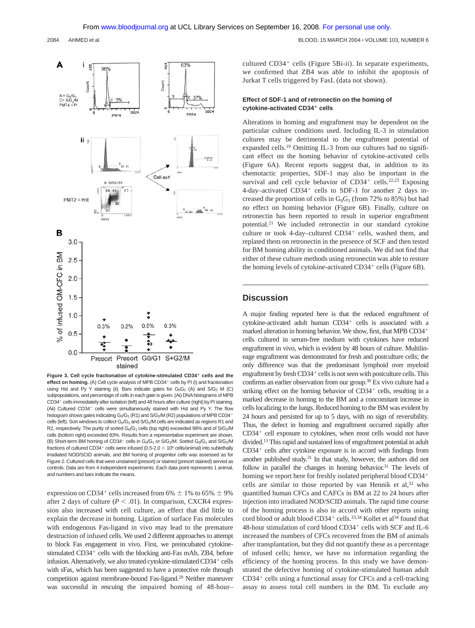2084 AHMED et al BLOOD, 15 MARCH 2004 VOLUME 103, NUMBER 6



Figure 3. Cell cycle fractionation of cytokine-stimulated CD34<sup>+</sup> cells and the effect on homing. (A) Cell cycle analysis of MPB CD34<sup>+</sup> cells by PI (i) and fractionation using Hst and Py Y staining (ii). Bars indicate gates for  $G_0G_1$  (A) and  $S/G_2$  M (C) subpopulations, and percentage of cells in each gate is given. (Ai) DNAhistograms of MPB CD34<sup>+</sup> cells immediately after isolation (left) and 48 hours after culture (right) by PI staining. (Aii) Cultured  $CD34<sup>+</sup>$  cells were simultaneously stained with Hst and Py Y. The flow histogram shows gates indicating  $G_0/G_1$  (R1) and  $S/G_2/M$  (R2) populations of MPB CD34<sup>+</sup> cells (left). Sort windows to collect  $G_0/G_1$  and  $S/G_2/M$  cells are indicated as regions R1 and R2, respectively. The purity of sorted G<sub>0</sub>/G<sub>1</sub> cells (top right) exceeded 98% and of S/G<sub>2</sub>/M cells (bottom right) exceeded 83%. Results from a representative experiment are shown. (B) Short-term BM homing of CD34<sup>+</sup> cells in  $G_0/G_1$  or S/G<sub>2</sub>/M. Sorted  $G_0/G_1$  and S/G<sub>2</sub>/M fractions of cultured CD34<sup>+</sup> cells were infused (0.5-2.0  $\times$  10<sup>6</sup> cells/animal) into sublethally irradiated NOD/SCID animals, and BM homing of progenitor cells was assessed as for Figure 2. Cultured cells that were unstained (presort) or stained (presort stained) served as controls. Data are from 4 independent experiments. Each data point represents 1 animal, and numbers and bars indicate the means.

expression on CD34<sup>+</sup> cells increased from 6%  $\pm$  1% to 65%  $\pm$  9% after 2 days of culture  $(P < .01)$ . In comparison, CXCR4 expression also increased with cell culture, an effect that did little to explain the decrease in homing. Ligation of surface Fas molecules with endogenous Fas-ligand in vivo may lead to the premature destruction of infused cells. We used 2 different approaches to attempt to block Fas engagement in vivo. First, we preincubated cytokinestimulated CD34<sup>+</sup> cells with the blocking anti-Fas mAb, ZB4, before infusion. Alternatively, we also treated cytokine-stimulated CD34+ cells with sFas, which has been suggested to have a protective role through competition against membrane-bound Fas-ligand.29 Neither maneuver was successful in rescuing the impaired homing of 48-hour– cultured  $CD34<sup>+</sup>$  cells (Figure 5Bi-ii). In separate experiments, we confirmed that ZB4 was able to inhibit the apoptosis of Jurkat T cells triggered by FasL (data not shown).

## **Effect of SDF-1 and of retronectin on the homing of cytokine-activated CD34 cells**

Alterations in homing and engraftment may be dependent on the particular culture conditions used. Including IL-3 in stimulation cultures may be detrimental to the engraftment potential of expanded cells.19 Omitting IL-3 from our cultures had no significant effect on the homing behavior of cytokine-activated cells (Figure 6A). Recent reports suggest that, in addition to its chemotactic properties, SDF-1 may also be important in the survival and cell cycle behavior of  $CD34<sup>+</sup>$  cells.<sup>22,23</sup> Exposing 4-day–activated  $CD34<sup>+</sup>$  cells to SDF-1 for another 2 days increased the proportion of cells in  $G_0G_1$  (from 72% to 85%) but had no effect on homing behavior (Figure 6B). Finally, culture on retronectin has been reported to result in superior engraftment potential.21 We included retronectin in our standard cytokine culture or took 4-day-cultured  $CD34<sup>+</sup>$  cells, washed them, and replated them on retronectin in the presence of SCF and then tested for BM homing ability in conditioned animals. We did not find that either of these culture methods using retronectin was able to restore the homing levels of cytokine-activated CD34<sup>+</sup> cells (Figure 6B).

## **Discussion**

A major finding reported here is that the reduced engraftment of cytokine-activated adult human CD34<sup>+</sup> cells is associated with a marked alteration in homing behavior. We show, first, that MPB CD34 cells cultured in serum-free medium with cytokines have reduced engraftment in vivo, which is evident by 48 hours of culture. Multilineage engraftment was demonstrated for fresh and postculture cells; the only difference was that the predominant lymphoid over myeloid engraftment by fresh  $CD34<sup>+</sup>$  cells is not seen with postculture cells. This confirms an earlier observation from our group.30 Ex vivo culture had a striking effect on the homing behavior of CD34<sup>+</sup> cells, resulting in a marked decrease in homing to the BM and a concomitant increase in cells localizing to the lungs. Reduced homing to the BM was evident by 24 hours and persisted for up to 5 days, with no sign of reversibility. Thus, the defect in homing and engraftment occurred rapidly after  $CD34<sup>+</sup>$  cell exposure to cytokines, when most cells would not have divided.13 This rapid and sustained loss of engraftment potential in adult  $CD34<sup>+</sup>$  cells after cytokine exposure is in accord with findings from another published study.<sup>31</sup> In that study, however, the authors did not follow in parallel the changes in homing behavior.<sup>31</sup> The levels of homing we report here for freshly isolated peripheral blood CD34<sup>+</sup> cells are similar to those reported by van Hennik et al,<sup>32</sup> who quantified human CFCs and CAFCs in BM at 22 to 24 hours after injection into irradiated NOD/SCID animals. The rapid time course of the homing process is also in accord with other reports using cord blood or adult blood CD34<sup>+</sup> cells.<sup>33,34</sup> Kollet et al<sup>34</sup> found that 48-hour stimulation of cord blood  $CD34<sup>+</sup>$  cells with SCF and IL-6 increased the numbers of CFCs recovered from the BM of animals after transplantation, but they did not quantify these as a percentage of infused cells; hence, we have no information regarding the efficiency of the homing process. In this study we have demonstrated the defective homing of cytokine-stimulated human adult  $CD34<sup>+</sup>$  cells using a functional assay for CFCs and a cell-tracking assay to assess total cell numbers in the BM. To exclude any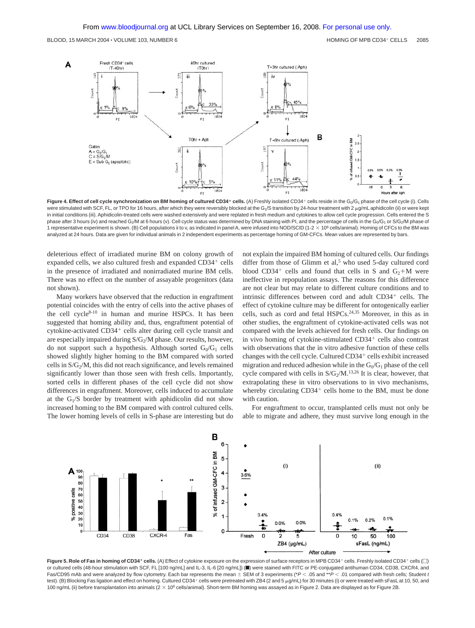

Figure 4. Effect of cell cycle synchronization on BM homing of cultured CD34<sup>+</sup> cells. (A) Freshly isolated CD34<sup>+</sup> cells reside in the G<sub>0</sub>/G<sub>1</sub> phase of the cell cycle (i). Cells were stimulated with SCF, FL, or TPO for 16 hours, after which they were reversibly blocked at the G<sub>1</sub>/S transition by 24-hour treatment with 2  $\mu$ g/mL aphidicolin (ii) or were kept in initial conditions (iii). Aphidicolin-treated cells were washed extensively and were replated in fresh medium and cytokines to allow cell cycle progression. Cells entered the S phase after 3 hours (iv) and reached G<sub>2</sub>/M at 6 hours (v). Cell cycle status was determined by DNA staining with PI, and the percentage of cells in the G<sub>0</sub>/G<sub>1</sub> or S/G<sub>2</sub>/M phase of 1 representative experiment is shown. (B) Cell populations ii to v, as indicated in panel A, were infused into NOD/SCID (1-2 × 10<sup>6</sup> cells/animal). Homing of CFCs to the BM was analyzed at 24 hours. Data are given for individual animals in 2 independent experiments as percentage homing of GM-CFCs. Mean values are represented by bars.

deleterious effect of irradiated murine BM on colony growth of expanded cells, we also cultured fresh and expanded CD34<sup>+</sup> cells in the presence of irradiated and nonirradiated murine BM cells. There was no effect on the number of assayable progenitors (data not shown).

Many workers have observed that the reduction in engraftment potential coincides with the entry of cells into the active phases of the cell cycle8-10 in human and murine HSPCs. It has been suggested that homing ability and, thus, engraftment potential of cytokine-activated CD34<sup>+</sup> cells alter during cell cycle transit and are especially impaired during  $S/G_2/M$  phase. Our results, however, do not support such a hypothesis. Although sorted  $G_0/G_1$  cells showed slightly higher homing to the BM compared with sorted cells in  $S/G_2/M$ , this did not reach significance, and levels remained significantly lower than those seen with fresh cells. Importantly, sorted cells in different phases of the cell cycle did not show differences in engraftment. Moreover, cells induced to accumulate at the  $G_1/S$  border by treatment with aphidicolin did not show increased homing to the BM compared with control cultured cells. The lower homing levels of cells in S-phase are interesting but do

not explain the impaired BM homing of cultured cells. Our findings differ from those of Glimm et al,<sup>5</sup> who used 5-day cultured cord blood CD34<sup>+</sup> cells and found that cells in S and  $G_2+M$  were ineffective in repopulation assays. The reasons for this difference are not clear but may relate to different culture conditions and to intrinsic differences between cord and adult CD34<sup>+</sup> cells. The effect of cytokine culture may be different for ontogenically earlier cells, such as cord and fetal HSPCs.24,35 Moreover, in this as in other studies, the engraftment of cytokine-activated cells was not compared with the levels achieved for fresh cells. Our findings on in vivo homing of cytokine-stimulated CD34<sup>+</sup> cells also contrast with observations that the in vitro adhesive function of these cells changes with the cell cycle. Cultured CD34<sup>+</sup> cells exhibit increased migration and reduced adhesion while in the  $G_0/G_1$  phase of the cell cycle compared with cells in  $S/G_2/M$ .<sup>13,26</sup> It is clear, however, that extrapolating these in vitro observations to in vivo mechanisms, whereby circulating  $CD34<sup>+</sup>$  cells home to the BM, must be done with caution.

For engraftment to occur, transplanted cells must not only be able to migrate and adhere, they must survive long enough in the



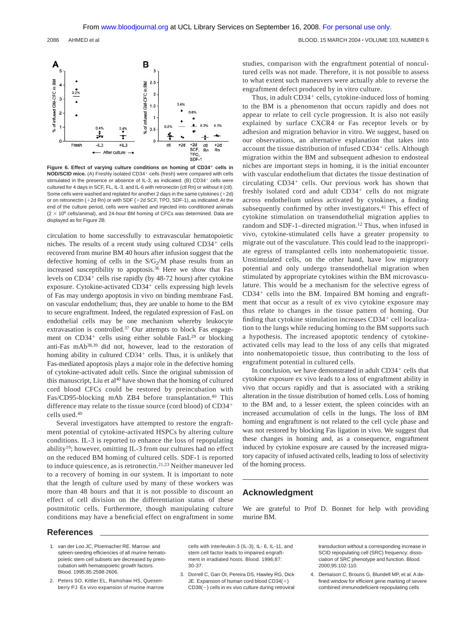

Figure 6. Effect of varying culture conditions on homing of CD34<sup>+</sup> cells in **NOD/SCID mice.** (A) Freshly isolated CD34<sup>+</sup> cells (fresh) were compared with cells stimulated in the presence or absence of IL-3, as indicated. (B) CD34+ cells were cultured for 4 days in SCF, FL, IL-3, and IL-6 with retronectin (ctl Rn) or without it (ctl). Some cells were washed and replated for another 2 days in the same cytokines  $(+2d)$ or on retronectin  $(+2d \text{ Rn})$  or with SDF  $(+2d \text{ SCF}, \text{TPO}, \text{SDF-1})$ , as indicated. At the end of the culture period, cells were washed and injected into conditioned animals  $(2 \times 10^6 \text{ cells/animal})$ , and 24-hour BM homing of CFCs was determined. Data are displayed as for Figure 2B.

circulation to home successfully to extravascular hematopoietic niches. The results of a recent study using cultured  $CD34<sup>+</sup>$  cells recovered from murine BM 40 hours after infusion suggest that the defective homing of cells in the  $S/G<sub>2</sub>/M$  phase results from an increased susceptibility to apoptosis.36 Here we show that Fas levels on  $CD34<sup>+</sup>$  cells rise rapidly (by 48-72 hours) after cytokine exposure. Cytokine-activated  $CD34<sup>+</sup>$  cells expressing high levels of Fas may undergo apoptosis in vivo on binding membrane FasL on vascular endothelium; thus, they are unable to home to the BM to secure engraftment. Indeed, the regulated expression of FasL on endothelial cells may be one mechanism whereby leukocyte extravasation is controlled.37 Our attempts to block Fas engagement on  $CD34<sup>+</sup>$  cells using either soluble Fas $L^{29}$  or blocking anti-Fas mAb38,39 did not, however, lead to the restoration of homing ability in cultured  $CD34<sup>+</sup>$  cells. Thus, it is unlikely that Fas-mediated apoptosis plays a major role in the defective homing of cytokine-activated adult cells. Since the original submission of this manuscript, Liu et al<sup>40</sup> have shown that the homing of cultured cord blood CFCs could be restored by preincubation with Fas/CD95-blocking mAb ZB4 before transplantation.<sup>40</sup> This difference may relate to the tissue source (cord blood) of CD34 cells used.40

Several investigators have attempted to restore the engraftment potential of cytokine-activated HSPCs by altering culture conditions. IL-3 is reported to enhance the loss of repopulating ability19; however, omitting IL-3 from our cultures had no effect on the reduced BM homing of cultured cells. SDF-1 is reported to induce quiescence, as is retronectin.21,23 Neither maneuver led to a recovery of homing in our system. It is important to note that the length of culture used by many of these workers was more than 48 hours and that it is not possible to discount an effect of cell division on the differentiation status of these postmitotic cells. Furthermore, though manipulating culture conditions may have a beneficial effect on engraftment in some studies, comparison with the engraftment potential of noncultured cells was not made. Therefore, it is not possible to assess to what extent such maneuvers were actually able to reverse the engraftment defect produced by in vitro culture.

Thus, in adult  $CD34<sup>+</sup>$  cells, cytokine-induced loss of homing to the BM is a phenomenon that occurs rapidly and does not appear to relate to cell cycle progression. It is also not easily explained by surface CXCR4 or Fas receptor levels or by adhesion and migration behavior in vitro. We suggest, based on our observations, an alternative explanation that takes into account the tissue distribution of infused CD34<sup>+</sup> cells. Although migration within the BM and subsequent adhesion to endosteal niches are important steps in homing, it is the initial encounter with vascular endothelium that dictates the tissue destination of circulating  $CD34<sup>+</sup>$  cells. Our previous work has shown that freshly isolated cord and adult  $CD34<sup>+</sup>$  cells do not migrate across endothelium unless activated by cytokines, a finding subsequently confirmed by other investigators.41 This effect of cytokine stimulation on transendothelial migration applies to random and SDF-1–directed migration.<sup>12</sup> Thus, when infused in vivo, cytokine-stimulated cells have a greater propensity to migrate out of the vasculature. This could lead to the inappropriate egress of transplanted cells into nonhematopoietic tissue. Unstimulated cells, on the other hand, have low migratory potential and only undergo transendothelial migration when stimulated by appropriate cytokines within the BM microvasculature. This would be a mechanism for the selective egress of  $CD34<sup>+</sup>$  cells into the BM. Impaired BM homing and engraftment that occur as a result of ex vivo cytokine exposure may thus relate to changes in the tissue pattern of homing. Our finding that cytokine stimulation increases  $CD34<sup>+</sup>$  cell localization to the lungs while reducing homing to the BM supports such a hypothesis. The increased apoptotic tendency of cytokineactivated cells may lead to the loss of any cells that migrated into nonhematopoietic tissue, thus contributing to the loss of engraftment potential in cultured cells.

In conclusion, we have demonstrated in adult  $CD34<sup>+</sup>$  cells that cytokine exposure ex vivo leads to a loss of engraftment ability in vivo that occurs rapidly and that is associated with a striking alteration in the tissue distribution of homed cells. Loss of homing to the BM and, to a lesser extent, the spleen coincides with an increased accumulation of cells in the lungs. The loss of BM homing and engraftment is not related to the cell cycle phase and was not restored by blocking Fas ligation in vivo. We suggest that these changes in homing and, as a consequence, engraftment induced by cytokine exposure are caused by the increased migratory capacity of infused activated cells, leading to loss of selectivity of the homing process.

## **Acknowledgment**

We are grateful to Prof D. Bonnet for help with providing murine BM.

## **References**

- 1. van der Loo JC, Ploemacher RE. Marrow- and spleen-seeding efficiencies of all murine hematopoietic stem cell subsets are decreased by preincubation with hematopoietic growth factors. Blood. 1995;85:2598-2606.
- 2. Peters SO, Kittler EL, Ramshaw HS, Quesenberry PJ. Ex vivo expansion of murine marrow

cells with interleukin-3 (IL-3), IL- 6, IL-11, and stem cell factor leads to impaired engraftment in irradiated hosts. Blood. 1996;87: 30-37.

3. Dorrell C, Gan OI, Pereira DS, Hawley RG, Dick JE. Expansion of human cord blood  $CD34(+)$ CD38(-) cells in ex vivo culture during retroviral

transduction without a corresponding increase in SCID repopulating cell (SRC) frequency: dissociation of SRC phenotype and function. Blood. 2000;95:102-110.

4. Demaison C, Brouns G, Blundell MP, et al. A defined window for efficient gene marking of severe combined immunodeficient-repopulating cells